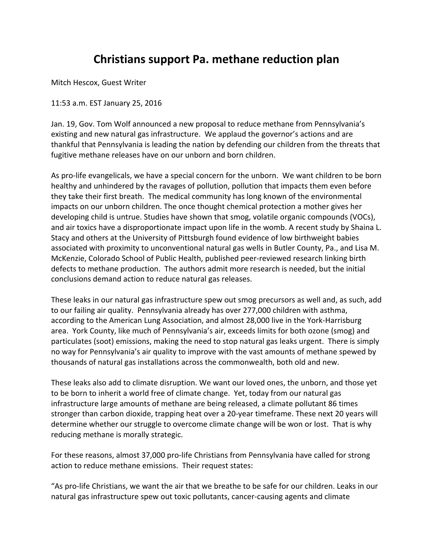## **Christians support Pa. methane reduction plan**

Mitch Hescox, Guest Writer

11:53 a.m. EST January 25, 2016

Jan. 19, Gov. Tom Wolf announced a new proposal to reduce methane from Pennsylvania's existing and new natural gas infrastructure. We applaud the governor's actions and are thankful that Pennsylvania is leading the nation by defending our children from the threats that fugitive methane releases have on our unborn and born children.

As pro-life evangelicals, we have a special concern for the unborn. We want children to be born healthy and unhindered by the ravages of pollution, pollution that impacts them even before they take their first breath. The medical community has long known of the environmental impacts on our unborn children. The once thought chemical protection a mother gives her developing child is untrue. Studies have shown that smog, volatile organic compounds (VOCs), and air toxics have a disproportionate impact upon life in the womb. A recent study by Shaina L. Stacy and others at the University of Pittsburgh found evidence of low birthweight babies associated with proximity to unconventional natural gas wells in Butler County, Pa., and Lisa M. McKenzie, Colorado School of Public Health, published peer-reviewed research linking birth defects to methane production. The authors admit more research is needed, but the initial conclusions demand action to reduce natural gas releases.

These leaks in our natural gas infrastructure spew out smog precursors as well and, as such, add to our failing air quality. Pennsylvania already has over 277,000 children with asthma, according to the American Lung Association, and almost 28,000 live in the York-Harrisburg area. York County, like much of Pennsylvania's air, exceeds limits for both ozone (smog) and particulates (soot) emissions, making the need to stop natural gas leaks urgent. There is simply no way for Pennsylvania's air quality to improve with the vast amounts of methane spewed by thousands of natural gas installations across the commonwealth, both old and new.

These leaks also add to climate disruption. We want our loved ones, the unborn, and those yet to be born to inherit a world free of climate change. Yet, today from our natural gas infrastructure large amounts of methane are being released, a climate pollutant 86 times stronger than carbon dioxide, trapping heat over a 20-year timeframe. These next 20 years will determine whether our struggle to overcome climate change will be won or lost. That is why reducing methane is morally strategic.

For these reasons, almost 37,000 pro-life Christians from Pennsylvania have called for strong action to reduce methane emissions. Their request states:

"As pro-life Christians, we want the air that we breathe to be safe for our children. Leaks in our natural gas infrastructure spew out toxic pollutants, cancer-causing agents and climate